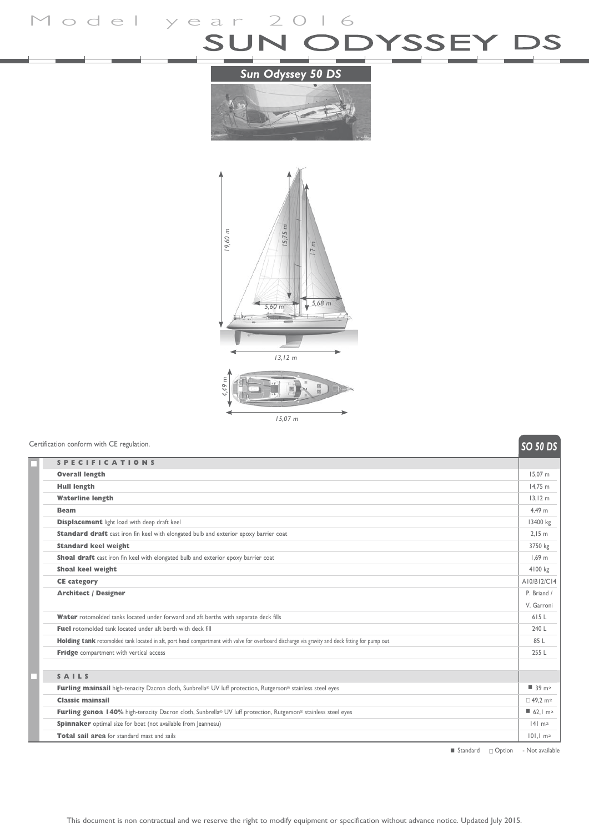Model year 2016<br>SUN ODYSSEY DS

## *Sun Odyssey 50 DS*





## **Solution** conform with CE regulation.

|                                                                                                                                                 | <b>גע טכ</b> טכ                    |
|-------------------------------------------------------------------------------------------------------------------------------------------------|------------------------------------|
| <b>SPECIFICATIONS</b>                                                                                                                           |                                    |
| <b>Overall length</b>                                                                                                                           | 15.07 m                            |
| <b>Hull length</b>                                                                                                                              | 14.75 m                            |
| <b>Waterline length</b>                                                                                                                         | 13.12 m                            |
| <b>Beam</b>                                                                                                                                     | 4.49 m                             |
| <b>Displacement</b> light load with deep draft keel                                                                                             | 13400 kg                           |
| Standard draft cast iron fin keel with elongated bulb and exterior epoxy barrier coat                                                           | 2.15 m                             |
| <b>Standard keel weight</b>                                                                                                                     | 3750 kg                            |
| Shoal draft cast iron fin keel with elongated bulb and exterior epoxy barrier coat                                                              | $1.69$ m                           |
| <b>Shoal keel weight</b>                                                                                                                        | 4100 kg                            |
| <b>CE category</b>                                                                                                                              | A10/B12/C14                        |
| <b>Architect / Designer</b>                                                                                                                     | P. Briand /                        |
|                                                                                                                                                 | V. Garroni                         |
| Water rotomolded tanks located under forward and aft berths with separate deck fills                                                            | 615L                               |
| <b>Fuel</b> rotomolded tank located under aft berth with deck fill                                                                              | 240 L                              |
| Holding tank rotomolded tank located in aft, port head compartment with valve for overboard discharge via gravity and deck fitting for pump out | 85 L                               |
| Fridge compartment with vertical access                                                                                                         | 255 L                              |
|                                                                                                                                                 |                                    |
| SAILS                                                                                                                                           |                                    |
| Furling mainsail high-tenacity Dacron cloth, Sunbrella® UV luff protection, Rutgerson® stainless steel eyes                                     | ■ 39 m2                            |
| <b>Classic mainsail</b>                                                                                                                         | □ 49.2 m <sup>2</sup>              |
| Furling genoa 140% high-tenacity Dacron cloth, Sunbrella® UV luff protection, Rutgerson® stainless steel eyes                                   | $\blacksquare$ 62.1 m <sup>2</sup> |
| <b>Spinnaker</b> optimal size for boat (not available from Jeanneau)                                                                            | $ 4 $ m <sub>2</sub>               |
| Total sail area for standard mast and sails                                                                                                     | $101.1 \text{ m}^2$                |

 $\blacksquare$  Standard  $\Box$  Option - Not available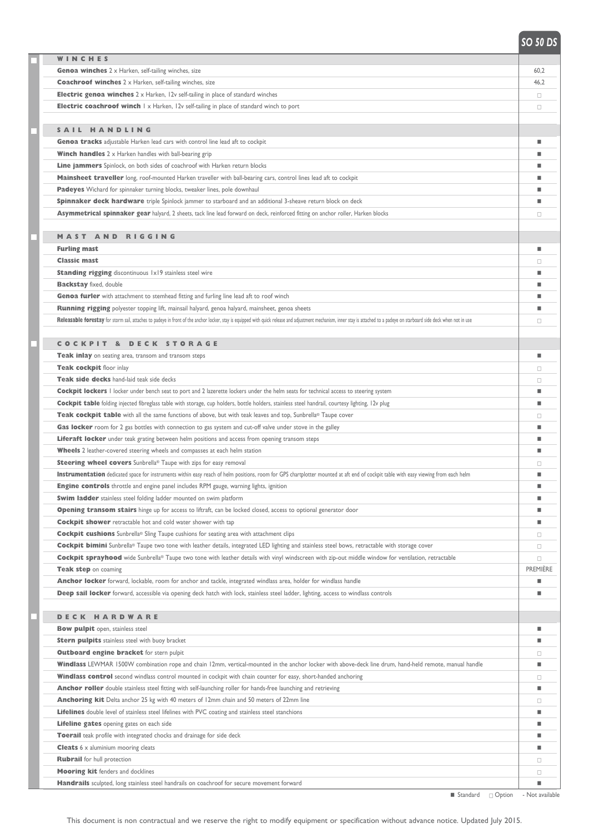| WINCHES                                                                                                                                                                                                                       |          |
|-------------------------------------------------------------------------------------------------------------------------------------------------------------------------------------------------------------------------------|----------|
| <b>Genoa winches</b> 2 x Harken, self-tailing winches, size                                                                                                                                                                   | 60,2     |
| <b>Coachroof winches</b> 2 x Harken, self-tailing winches, size                                                                                                                                                               | 46,2     |
| <b>Electric genoa winches</b> 2 x Harken, 12v self-tailing in place of standard winches                                                                                                                                       | $\Box$   |
| <b>Electric coachroof winch</b> 1 x Harken, 12v self-tailing in place of standard winch to port                                                                                                                               | □        |
|                                                                                                                                                                                                                               |          |
| SAIL HANDLING                                                                                                                                                                                                                 |          |
| Genoa tracks adjustable Harken lead cars with control line lead aft to cockpit                                                                                                                                                | ш        |
| <b>Winch handles</b> $2 \times$ Harken handles with ball-bearing grip                                                                                                                                                         |          |
| Line jammers Spinlock, on both sides of coachroof with Harken return blocks                                                                                                                                                   | ш        |
| Mainsheet traveller long, roof-mounted Harken traveller with ball-bearing cars, control lines lead aft to cockpit                                                                                                             | ш        |
| Padeyes Wichard for spinnaker turning blocks, tweaker lines, pole downhaul                                                                                                                                                    | ٠        |
| Spinnaker deck hardware triple Spinlock jammer to starboard and an additional 3-sheave return block on deck                                                                                                                   | ш        |
| Asymmetrical spinnaker gear halyard, 2 sheets, tack line lead forward on deck, reinforced fitting on anchor roller, Harken blocks                                                                                             | α        |
|                                                                                                                                                                                                                               |          |
| <b>MAST AND RIGGING</b>                                                                                                                                                                                                       |          |
| <b>Furling mast</b>                                                                                                                                                                                                           | ш        |
| <b>Classic mast</b>                                                                                                                                                                                                           | α        |
| <b>Standing rigging</b> discontinuous 1x19 stainless steel wire                                                                                                                                                               | ٠        |
| <b>Backstay</b> fixed, double                                                                                                                                                                                                 | ٠        |
| Genoa furler with attachment to stemhead fitting and furling line lead aft to roof winch                                                                                                                                      | ٠        |
| Running rigging polyester topping lift, mainsail halyard, genoa halyard, mainsheet, genoa sheets                                                                                                                              | ш        |
| Releasable forestay for storm sail, attaches to padeye in front of the anchor locker, stay is equipped with quick release and adjustment mechanism, inner stay is attached to a padeye on starboard side deck when not in use | $\Box$   |
|                                                                                                                                                                                                                               |          |
| <b>COCKPIT &amp; DECK STORAGE</b>                                                                                                                                                                                             |          |
| Teak inlay on seating area, transom and transom steps                                                                                                                                                                         | ш        |
| Teak cockpit floor inlay                                                                                                                                                                                                      | 0        |
| Teak side decks hand-laid teak side decks                                                                                                                                                                                     | α        |
| Cockpit lockers I locker under bench seat to port and 2 lazerette lockers under the helm seats for technical access to steering system                                                                                        | ш        |
| Cockpit table folding injected fibreglass table with storage, cup holders, bottle holders, stainless steel handrail, courtesy lighting, 12v plug                                                                              | ш        |
| Teak cockpit table with all the same functions of above, but with teak leaves and top, Sunbrella® Taupe cover                                                                                                                 | □        |
| Gas locker room for 2 gas bottles with connection to gas system and cut-off valve under stove in the galley                                                                                                                   | ш        |
| Liferaft locker under teak grating between helm positions and access from opening transom steps                                                                                                                               | ٠        |
| <b>Wheels</b> 2 leather-covered steering wheels and compasses at each helm station                                                                                                                                            | ш        |
| Steering wheel covers Sunbrella® Taupe with zips for easy removal                                                                                                                                                             | 0        |
| Instrumentation dedicated space for instruments within easy reach of helm positions, room for GPS chartplotter mounted at aft end of cockpit table with easy viewing from each helm                                           | ш        |
| <b>Engine controls</b> throttle and engine panel includes RPM gauge, warning lights, ignition                                                                                                                                 | ш        |
| Swim ladder stainless steel folding ladder mounted on swim platform                                                                                                                                                           | ٠        |
| <b>Opening transom stairs</b> hinge up for access to liftraft, can be locked closed, access to optional generator door                                                                                                        | ш        |
| <b>Cockpit shower</b> retractable hot and cold water shower with tap                                                                                                                                                          | ٠        |
| <b>Cockpit cushions</b> Sunbrella® Sling Taupe cushions for seating area with attachment clips                                                                                                                                |          |
|                                                                                                                                                                                                                               | $\Box$   |
| Cockpit bimini Sunbrella® Taupe two tone with leather details, integrated LED lighting and stainless steel bows, retractable with storage cover                                                                               | $\Box$   |
| Cockpit sprayhood wide Sunbrella® Taupe two tone with leather details with vinyl windscreen with zip-out middle window for ventilation, retractable                                                                           | $\Box$   |
| Teak step on coaming                                                                                                                                                                                                          | PREMIÈRE |
| Anchor locker forward, lockable, room for anchor and tackle, integrated windlass area, holder for windlass handle                                                                                                             | ш        |
| Deep sail locker forward, accessible via opening deck hatch with lock, stainless steel ladder, lighting, access to windlass controls                                                                                          | ш        |
|                                                                                                                                                                                                                               |          |
| <b>DECK HARDWARE</b>                                                                                                                                                                                                          |          |
| <b>Bow pulpit</b> open, stainless steel                                                                                                                                                                                       | ш        |
| <b>Stern pulpits</b> stainless steel with buoy bracket                                                                                                                                                                        | ш        |
| <b>Outboard engine bracket</b> for stern pulpit                                                                                                                                                                               | □        |
| Windlass LEWMAR 1500W combination rope and chain 12mm, vertical-mounted in the anchor locker with above-deck line drum, hand-held remote, manual handle                                                                       | ш        |
| Windlass control second windlass control mounted in cockpit with chain counter for easy, short-handed anchoring                                                                                                               | □        |
| Anchor roller double stainless steel fitting with self-launching roller for hands-free launching and retrieving                                                                                                               | ш        |
| Anchoring kit Delta anchor 25 kg with 40 meters of 12mm chain and 50 meters of 22mm line                                                                                                                                      | □        |
| Lifelines double level of stainless steel lifelines with PVC coating and stainless steel stanchions                                                                                                                           | ш        |
| <b>Lifeline gates</b> opening gates on each side                                                                                                                                                                              | ш        |
| Toerail teak profile with integrated chocks and drainage for side deck                                                                                                                                                        | ш        |
| <b>Cleats</b> 6 x aluminium mooring cleats                                                                                                                                                                                    | ٠        |
| <b>Rubrail</b> for hull protection                                                                                                                                                                                            | 0        |
| <b>Mooring kit</b> fenders and docklines                                                                                                                                                                                      | $\Box$   |
| Handrails sculpted, long stainless steel handrails on coachroof for secure movement forward                                                                                                                                   | ٠        |

< Standard <sup>c</sup> Option - Not available

## *SO 50 DS*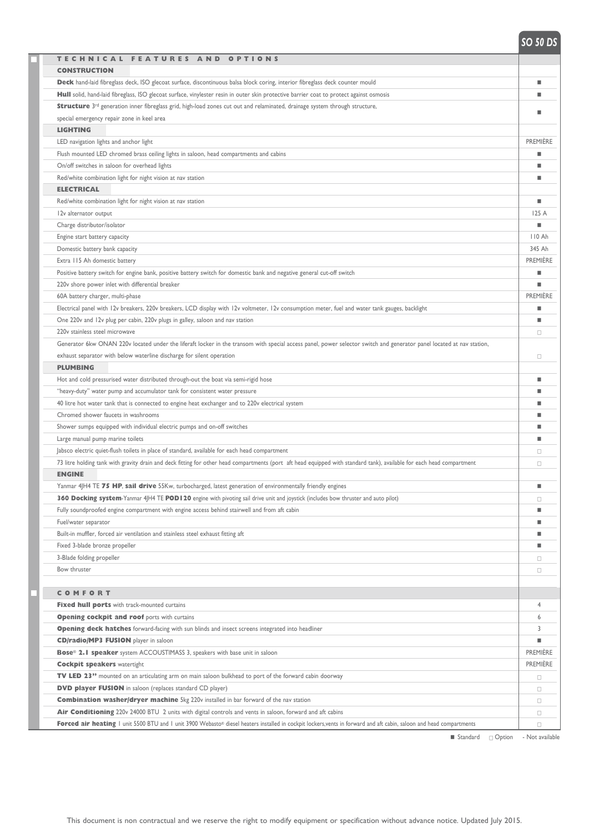*SO DS SO 50 DS*

| TECHNICAL FEATURES AND<br><b>OPTIONS</b>                                                                                                                               |                 |
|------------------------------------------------------------------------------------------------------------------------------------------------------------------------|-----------------|
| <b>CONSTRUCTION</b>                                                                                                                                                    |                 |
| Deck hand-laid fibreglass deck, ISO glecoat surface, discontinuous balsa block coring, interior fibreglass deck counter mould                                          |                 |
| Hull solid, hand-laid fibreglass, ISO glecoat surface, vinylester resin in outer skin protective barrier coat to protect against osmosis                               |                 |
| <b>Structure</b> 3 <sup>rd</sup> generation inner fibreglass grid, high-load zones cut out and relaminated, drainage system through structure,                         |                 |
| special emergency repair zone in keel area                                                                                                                             |                 |
| <b>LIGHTING</b>                                                                                                                                                        |                 |
| LED navigation lights and anchor light                                                                                                                                 | <b>PREMIERE</b> |
| Flush mounted LED chromed brass ceiling lights in saloon, head compartments and cabins                                                                                 |                 |
| On/off switches in saloon for overhead lights                                                                                                                          |                 |
| Red/white combination light for night vision at nav station                                                                                                            |                 |
| <b>ELECTRICAL</b>                                                                                                                                                      |                 |
| Red/white combination light for night vision at nav station                                                                                                            |                 |
| 12v alternator output                                                                                                                                                  | 125A            |
| Charge distributor/isolator                                                                                                                                            | ٠               |
| Engine start battery capacity                                                                                                                                          | 110 Ah          |
| Domestic battery bank capacity                                                                                                                                         | 345 Ah          |
| Extra 115 Ah domestic battery                                                                                                                                          | <b>PREMIÈRE</b> |
| Positive battery switch for engine bank, positive battery switch for domestic bank and negative general cut-off switch                                                 |                 |
| 220v shore power inlet with differential breaker                                                                                                                       |                 |
| 60A battery charger, multi-phase                                                                                                                                       | <b>PREMIÈRE</b> |
| Electrical panel with 12v breakers, 220v breakers, LCD display with 12v voltmeter, 12v consumption meter, fuel and water tank gauges, backlight                        |                 |
| One 220v and 12v plug per cabin, 220v plugs in galley, saloon and nav station                                                                                          |                 |
| 220v stainless steel microwave                                                                                                                                         | $\Box$          |
| Generator 6kw ONAN 220v located under the liferaft locker in the transom with special access panel, power selector switch and generator panel located at nav station,  |                 |
| exhaust separator with below waterline discharge for silent operation                                                                                                  | $\Box$          |
| <b>PLUMBING</b>                                                                                                                                                        |                 |
| Hot and cold pressurised water distributed through-out the boat via semi-rigid hose                                                                                    |                 |
| "heavy-duty" water pump and accumulator tank for consistent water pressure                                                                                             |                 |
| 40 litre hot water tank that is connected to engine heat exchanger and to 220v electrical system                                                                       |                 |
| Chromed shower faucets in washrooms                                                                                                                                    |                 |
| Shower sumps equipped with individual electric pumps and on-off switches                                                                                               |                 |
| Large manual pump marine toilets                                                                                                                                       |                 |
| Jabsco electric quiet-flush toilets in place of standard, available for each head compartment                                                                          | $\Box$          |
| 73 litre holding tank with gravity drain and deck fitting for other head compartments (port aft head equipped with standard tank), available for each head compartment | $\Box$          |
| <b>ENGINE</b>                                                                                                                                                          |                 |
| Yanmar 4JH4 TE 75 HP, sail drive 55Kw, turbocharged, latest generation of environmentally friendly engines                                                             |                 |
| 360 Docking system-Yanmar 4JH4 TE POD 120 engine with pivoting sail drive unit and joystick (includes bow thruster and auto pilot)                                     |                 |
| Fully soundproofed engine compartment with engine access behind stairwell and from aft cabin                                                                           | $\Box$          |
| Fuel/water separator                                                                                                                                                   |                 |
| Built-in muffler, forced air ventilation and stainless steel exhaust fitting aft                                                                                       |                 |
| Fixed 3-blade bronze propeller                                                                                                                                         |                 |
| 3-Blade folding propeller                                                                                                                                              |                 |
| Bow thruster                                                                                                                                                           | $\Box$          |
|                                                                                                                                                                        | $\Box$          |
| <b>COMFORT</b>                                                                                                                                                         |                 |
| Fixed hull ports with track-mounted curtains                                                                                                                           | 4               |
| <b>Opening cockpit and roof ports with curtains</b>                                                                                                                    | 6               |
|                                                                                                                                                                        | 3               |
| <b>Opening deck hatches</b> forward-facing with sun blinds and insect screens integrated into headliner<br><b>CD/radio/MP3 FUSION</b> player in saloon                 |                 |
| <b>Bose<sup>®</sup> 2.1 speaker</b> system ACCOUSTIMASS 3, speakers with base unit in saloon                                                                           | <b>PREMIÈRE</b> |
| <b>Cockpit speakers watertight</b>                                                                                                                                     | <b>PREMIÈRE</b> |
| <b>TV LED 23</b> " mounted on an articulating arm on main saloon bulkhead to port of the forward cabin doorway                                                         |                 |
|                                                                                                                                                                        | $\Box$          |
| <b>DVD player FUSION</b> in saloon (replaces standard CD player)                                                                                                       | $\Box$          |
| <b>Combination washer/dryer machine</b> 5kg 220v installed in bar forward of the nav station                                                                           | $\Box$          |
| Air Conditioning 220v 24000 BTU 2 units with digital controls and vents in saloon, forward and aft cabins                                                              | $\Box$          |
| Forced air heating I unit 5500 BTU and I unit 3900 Webasto® diesel heaters installed in cockpit lockers, vents in forward and aft cabin, saloon and head compartments  | $\Box$          |

 $\blacksquare$  Standard  $\Box$  Option - Not available